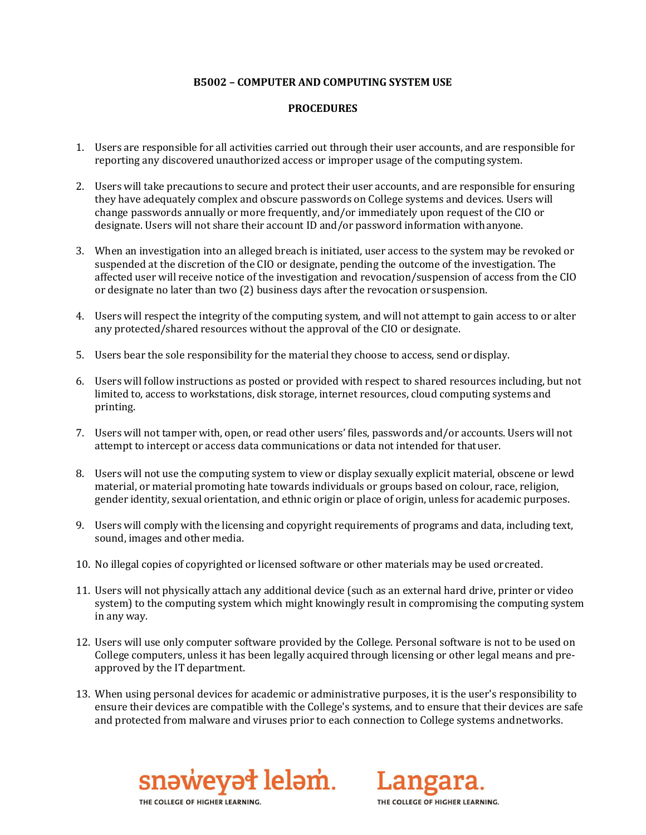## **B5002 – COMPUTER AND COMPUTING SYSTEM USE**

## **PROCEDURES**

- 1. Users are responsible for all activities carried out through their user accounts, and are responsible for reporting any discovered unauthorized access or improper usage of the computing system.
- 2. Users will take precautions to secure and protect their user accounts, and are responsible for ensuring they have adequately complex and obscure passwords on College systems and devices. Users will change passwords annually or more frequently, and/or immediately upon request of the CIO or designate. Users will not share their account ID and/or password information withanyone.
- 3. When an investigation into an alleged breach is initiated, user access to the system may be revoked or suspended at the discretion of the CIO or designate, pending the outcome of the investigation. The affected user will receive notice of the investigation and revocation/suspension of access from the CIO or designate no later than two (2) business days after the revocation or suspension.
- 4. Users will respect the integrity of the computing system, and will not attempt to gain access to or alter any protected/shared resources without the approval of the CIO or designate.
- 5. Users bear the sole responsibility for the material they choose to access, send ordisplay.
- 6. Users will follow instructions as posted or provided with respect to shared resources including, but not limited to, access to workstations, disk storage, internet resources, cloud computing systems and printing.
- 7. Users will not tamper with, open, or read other users' files, passwords and/or accounts. Users will not attempt to intercept or access data communications or data not intended for thatuser.
- 8. Users will not use the computing system to view or display sexually explicit material, obscene or lewd material, or material promoting hate towards individuals or groups based on colour, race, religion, gender identity, sexual orientation, and ethnic origin or place of origin, unless for academic purposes.
- 9. Users will comply with the licensing and copyright requirements of programs and data, including text, sound, images and other media.
- 10. No illegal copies of copyrighted or licensed software or other materials may be used orcreated.
- 11. Users will not physically attach any additional device (such as an external hard drive, printer or video system) to the computing system which might knowingly result in compromising the computing system in any way.
- 12. Users will use only computer software provided by the College. Personal software is not to be used on College computers, unless it has been legally acquired through licensing or other legal means and preapproved by the IT department.
- 13. When using personal devices for academic or administrative purposes, it is the user's responsibility to ensure their devices are compatible with the College's systems, and to ensure that their devices are safe and protected from malware and viruses prior to each connection to College systems andnetworks.